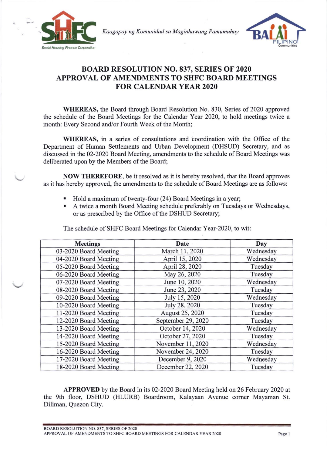

Kaagapay ng Komunidad sa Maginhawang Pamumuhay



## BOARD RESOLUTION NO. 837, SERIES OF 2020 APPROVAL OF AMENDMENTS TO SHFC BOARD MEETINGS FOR CALENDAR YEAR 2O2O

WHEREAS, the Board through Board Resolution No. 830, Series of 2020 approved the schedule of the Board Meetings for the Calendar Year 2020, to hold meetings twice a month: Every Second and/or Fourth Week of the Month;

WHEREAS, in a series of consultations and coordination with the Office of the Department of Human Settlements and Urban Development (DHSUD) Secretary, and as discussed in the 02-2020 Board Meeting, amendments to the schedule of Board Meetings was deliberated upon by the Members of the Board;

NOW THEREFORE, be it resolved as it is hereby resolved, that the Board approves as it has hereby approved, the amendments to the schedule of Board Meetings are as follows:

- . Hold a maximum of twenty-four (24) Board Meetings in a year;
- A twice a month Board Meeting schedule preferably on Tuesdays or Wednesdays, or as prescribed by the Office of the DSHUD Secretary;

| <b>Meetings</b>       | Date               | Day       |
|-----------------------|--------------------|-----------|
| 03-2020 Board Meeting | March 11, 2020     | Wednesday |
| 04-2020 Board Meeting | April 15, 2020     | Wednesday |
| 05-2020 Board Meeting | April 28, 2020     | Tuesday   |
| 06-2020 Board Meeting | May 26, 2020       | Tuesday   |
| 07-2020 Board Meeting | June 10, 2020      | Wednesday |
| 08-2020 Board Meeting | June 23, 2020      | Tuesday   |
| 09-2020 Board Meeting | July 15, 2020      | Wednesday |
| 10-2020 Board Meeting | July 28, 2020      | Tuesday   |
| 11-2020 Board Meeting | August 25, 2020    | Tuesday   |
| 12-2020 Board Meeting | September 29, 2020 | Tuesday   |
| 13-2020 Board Meeting | October 14, 2020   | Wednesday |
| 14-2020 Board Meeting | October 27, 2020   | Tuesday   |
| 15-2020 Board Meeting | November 11, 2020  | Wednesday |
| 16-2020 Board Meeting | November 24, 2020  | Tuesday   |
| 17-2020 Board Meeting | December 9, 2020   | Wednesday |
| 18-2020 Board Meeting | December 22, 2020  | Tuesday   |

The schedule of SHFC Board Meetings for Calendar Year-2020, to wit:

APPROVED by the Board in its 02-2020 Board Meeting held on 26 February 2020 at the 9th floor, DSHUD (HLURB) Boardroom, Kalayaan Avenue corner Mayaman St. Diliman, Quezon City.